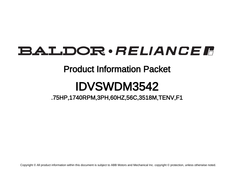# BALDOR · RELIANCE F

## Product Information Packet

# IDVSWDM3542

.75HP,1740RPM,3PH,60HZ,56C,3518M,TENV,F1

Copyright © All product information within this document is subject to ABB Motors and Mechanical Inc. copyright © protection, unless otherwise noted.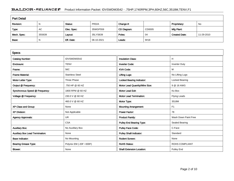### BALDOR · RELIANCE F Product Information Packet: IDVSWDM3542 - .75HP,1740RPM,3PH,60HZ,56C,3518M,TENV,F1

| <b>Part Detail</b> |        |             |            |             |        |                      |            |  |
|--------------------|--------|-------------|------------|-------------|--------|----------------------|------------|--|
| Revision:          | N      | Status:     | PRD/A      | Change #:   |        | Proprietary:         | No         |  |
| Type:              | AC     | Elec. Spec: | 35WGP559   | CD Diagram: | CD0005 | Mfg Plant:           |            |  |
| Mech. Spec:        | 35S639 | Layout:     | 35LYS639   | Poles:      | 04     | <b>Created Date:</b> | 11-29-2010 |  |
| Base:              | N      | Eff. Date:  | 06-10-2021 | Leads:      | 9#18   |                      |            |  |

| <b>Specs</b>                           |                         |                                  |                       |
|----------------------------------------|-------------------------|----------------------------------|-----------------------|
| <b>Catalog Number:</b>                 | IDVSWDM3542             | <b>Insulation Class:</b>         | н                     |
| Enclosure:                             | <b>TENV</b>             | <b>Inverter Code:</b>            | <b>Inverter Duty</b>  |
| Frame:                                 | 56C                     | <b>KVA Code:</b>                 | м                     |
| <b>Frame Material:</b>                 | <b>Stainless Steel</b>  | <b>Lifting Lugs:</b>             | No Lifting Lugs       |
| Motor Letter Type:                     | Three Phase             | <b>Locked Bearing Indicator:</b> | Locked Bearing        |
| Output @ Frequency:                    | .750 HP @ 60 HZ         | Motor Lead Quantity/Wire Size:   | 9 @ 18 AWG            |
| Synchronous Speed @ Frequency:         | 1800 RPM @ 60 HZ        | <b>Motor Lead Exit:</b>          | Ko Box                |
| Voltage @ Frequency:                   | 230.0 V @ 60 HZ         | <b>Motor Lead Termination:</b>   | <b>Flying Leads</b>   |
|                                        | 460.0 V @ 60 HZ         | Motor Type:                      | 3518M                 |
| XP Class and Group:                    | None                    | <b>Mounting Arrangement:</b>     | F <sub>1</sub>        |
| <b>XP Division:</b>                    | Not Applicable          | <b>Power Factor:</b>             | 78                    |
| <b>Agency Approvals:</b>               | <b>UR</b>               | <b>Product Family:</b>           | Wash Down Paint Free  |
|                                        | <b>CSA</b>              | <b>Pulley End Bearing Type:</b>  | Sealed Bearing        |
| <b>Auxillary Box:</b>                  | No Auxillary Box        | <b>Pulley Face Code:</b>         | C-Face                |
| <b>Auxillary Box Lead Termination:</b> | None                    | <b>Pulley Shaft Indicator:</b>   | Standard              |
| <b>Base Indicator:</b>                 | No Mounting             | <b>Rodent Screen:</b>            | None                  |
| <b>Bearing Grease Type:</b>            | Polyrex EM (-20F +300F) | <b>RoHS Status:</b>              | <b>ROHS COMPLIANT</b> |
| <b>Blower:</b>                         | None                    | <b>Shaft Extension Location:</b> | Pulley End            |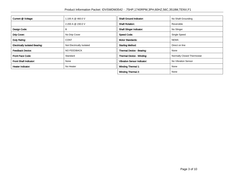| Current @ Voltage:                    | 1.100 A @ 460.0 V         | <b>Shaft Ground Indicator:</b>     | No Shaft Grounding         |
|---------------------------------------|---------------------------|------------------------------------|----------------------------|
|                                       | 2.200 A @ 230.0 V         | <b>Shaft Rotation:</b>             | Reversible                 |
| Design Code:                          | B                         | <b>Shaft Slinger Indicator:</b>    | No Slinger                 |
| Drip Cover:                           | No Drip Cover             | <b>Speed Code:</b>                 | Single Speed               |
| Duty Rating:                          | <b>CONT</b>               | <b>Motor Standards:</b>            | <b>NEMA</b>                |
| <b>Electrically Isolated Bearing:</b> | Not Electrically Isolated | <b>Starting Method:</b>            | Direct on line             |
| <b>Feedback Device:</b>               | <b>NO FEEDBACK</b>        | Thermal Device - Bearing:          | None                       |
| <b>Front Face Code:</b>               | Standard                  | Thermal Device - Winding:          | Normally Closed Thermostat |
| <b>Front Shaft Indicator:</b>         | None                      | <b>Vibration Sensor Indicator:</b> | No Vibration Sensor        |
| <b>Heater Indicator:</b>              | No Heater                 | <b>Winding Thermal 1:</b>          | None                       |
|                                       |                           | <b>Winding Thermal 2:</b>          | None                       |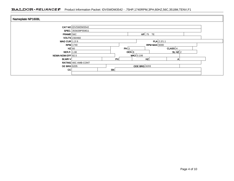### BALDOR · RELIANCE F Product Information Packet: IDVSWDM3542 - .75HP,1740RPM,3PH,60HZ,56C,3518M,TENV,F1

| Nameplate NP1608L  |                      |                     |                        |               |         |  |
|--------------------|----------------------|---------------------|------------------------|---------------|---------|--|
|                    | CAT NO IDVSWDM3542   |                     |                        |               |         |  |
|                    | SPEC. 35S639P559G1   |                     |                        |               |         |  |
| FRAME 56C          |                      |                     |                        | $HP$ .75 TE   |         |  |
|                    | <b>VOLTS</b> 230/460 |                     |                        |               |         |  |
| MAG CUR $1.2/6$    |                      |                     |                        | $FLA$ 2.2/1.1 |         |  |
|                    | $RPM$ 1740           | RPM MAX $6000$      |                        |               |         |  |
| $HZ$ 60            |                      |                     | PH 3                   |               | CLASS H |  |
| SER.F. 1.00        |                      |                     | $DES$ $B$<br>SLHZ $ 2$ |               |         |  |
| NEMA-NOM-EFF 82.5  |                      |                     | WK2 0.106              |               |         |  |
| <b>BLWR V</b>      |                      | PH                  |                        | HZ            | А       |  |
|                    | RATING 40C AMB-CONT  |                     |                        |               |         |  |
| <b>DE BRG</b> 6205 |                      | <b>ODE BRG</b> 6203 |                        |               |         |  |
| cc                 |                      | SN                  |                        |               |         |  |
|                    |                      |                     |                        |               |         |  |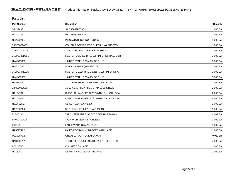| <b>Parts List</b>  |                                              |          |  |  |  |  |
|--------------------|----------------------------------------------|----------|--|--|--|--|
| <b>Part Number</b> | Description                                  | Quantity |  |  |  |  |
| SA212483           | SA 35S639P559G1                              | 1.000 EA |  |  |  |  |
| RA199713           | RA 35S639P559G1                              | 1.000 EA |  |  |  |  |
| NS2512A01          | <b>INSULATOR, CONDUIT BOX X</b>              | 1.000 EA |  |  |  |  |
| 35CB5001A03        | CONDUIT BOX KIT, FOR SUPER II WASHDOWN       | 1.000 EA |  |  |  |  |
| 11XW1032G06        | 10-32 X .38, TAPTITE II, HEX WSHR SLTD U     | 1.000 EA |  |  |  |  |
| 35EP3122D00U       | MASTER ODE, 203 BRG, 125NPT DRNS(BALL BUR    | 1.000 EA |  |  |  |  |
| HW4500S33          | 1/8 NPT STAINLESS #304 SS PLUG               | 3.000 EA |  |  |  |  |
| HW5100A03          | WAVY WASHER (W1543-017)                      | 1.000 EA |  |  |  |  |
| 35EP3307E00U       | MASTER DE, 205 BRG, 1.623SH, .125NPT DRNS, C | 1.000 EA |  |  |  |  |
| HW4500S33          | 1/8 NPT STAINLESS #304 SS PLUG               | 3.000 EA |  |  |  |  |
| HW4606A02          | JM CLIPPER/SEAL (LWE-0938-1624-AL23)         | 1.000 EA |  |  |  |  |
| 12XN1032S20        | 10-32 X 1-1/4 HEX M.S., STAINLESS STEEL      | 2.000 EA |  |  |  |  |
| HA1049A01          | DUBO LOK WASHER SIZE 10 (NYLON LOCK SEAL     | 2.000 EA |  |  |  |  |
| HA1049A01          | DUBO LOK WASHER SIZE 10 (NYLON LOCK SEAL     | 4.000 EA |  |  |  |  |
| HW2502D13          | SS KEY, 3/16 SQ X 1.375                      | 1.000 EA |  |  |  |  |
| HA7000A04          | KEY RETAINER 0.625 DIA SHAFTS                | 1.000 EA |  |  |  |  |
| MJ5001A02          | 732 CL SEALANT 3 OZ DIXIE BEARING 289100     | 0.001 EA |  |  |  |  |
| 85XU0407S04        | 4X1/4 U DRIVE PIN STAINLESS                  | 2.000 EA |  |  |  |  |
| LB1164             | LABEL, WARNING AND DRAIN                     | 1.000 EA |  |  |  |  |
| HA5027A02          | HA4054 T-DRAIN X2 BAGGED WITH LABEL          | 1.000 EA |  |  |  |  |
| MJ1000A02          | GREASE, POLYREX EM EXXON                     | 0.050 LB |  |  |  |  |
| HA3100S12          | THRUBOLT 7.625 LENGTH 1.250 TH LENGTH SS     | 4.000 EA |  |  |  |  |
| LC0145B01          | <b>CONNECTION LABEL</b>                      | 1.000 EA |  |  |  |  |
| <b>NP1608L</b>     | SS WD INV UL CSA CC REV MTG                  | 1.000 EA |  |  |  |  |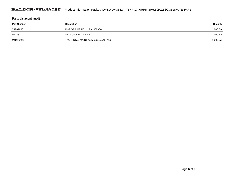### BALDOR · RELIANCE F Product Information Packet: IDVSWDM3542 - .75HP,1740RPM,3PH,60HZ,56C,3518M,TENV,F1

| Parts List (continued) |                                         |          |  |  |  |  |
|------------------------|-----------------------------------------|----------|--|--|--|--|
| <b>Part Number</b>     | Description                             | Quantity |  |  |  |  |
| 35PA1066               | PKG GRP, PRINT<br>PK1008A06             | 1.000 EA |  |  |  |  |
| PK3082                 | STYROFOAM CRADLE                        | 1.000 EA |  |  |  |  |
| MN416A01               | TAG-INSTAL-MAINT no wire (2100/bx) 4/22 | 1.000 EA |  |  |  |  |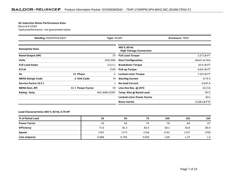#### **AC Induction Motor Performance Data**

Record # 33322Typical performance - not guaranteed values

| <b>Winding: 35WGP559-R007</b><br><b>Type: 3518M</b> |                   | <b>Enclosure: TENV</b> |                                                 |                |
|-----------------------------------------------------|-------------------|------------------------|-------------------------------------------------|----------------|
| <b>Nameplate Data</b>                               |                   |                        | 460 V, 60 Hz:<br><b>High Voltage Connection</b> |                |
| <b>Rated Output (HP)</b>                            |                   | .75                    | <b>Full Load Torque</b>                         | 2.27 LB-FT     |
| <b>Volts</b>                                        |                   | 230/460                | <b>Start Configuration</b>                      | direct on line |
| <b>Full Load Amps</b>                               |                   | 2.2/1.1                | <b>Breakdown Torque</b>                         | 10.4 LB-FT     |
| <b>R.P.M.</b>                                       |                   | 1740                   | <b>Pull-up Torque</b>                           | 6.64 LB-FT     |
| Hz                                                  | 60 Phase          | 3                      | <b>Locked-rotor Torque</b>                      | 7.43 LB-FT     |
| <b>NEMA Design Code</b>                             | <b>B KVA Code</b> | м                      | <b>Starting Current</b>                         | 9.74 A         |
| Service Factor (S.F.)                               |                   |                        | <b>No-load Current</b>                          | 0.647A         |
| <b>NEMA Nom. Eff.</b>                               | 82.5 Power Factor | 78                     | Line-line Res. @ 25°C                           | 22.2 $\Omega$  |
| <b>Rating - Duty</b>                                |                   | 40C AMB-CONT           | Temp. Rise @ Rated Load                         | $78^{\circ}$ C |
|                                                     |                   |                        | <b>Locked-rotor Power Factor</b>                | 64.1           |
|                                                     |                   |                        | Rotor inertia                                   | 0.106 LB-FT2   |

#### **Load Characteristics 460 V, 60 Hz, 0.75 HP**

| % of Rated Load     | 25    | 50    | 75    | 100  | 125  | 150  |
|---------------------|-------|-------|-------|------|------|------|
| <b>Power Factor</b> | 35    | 56    | 70    | 78   | 84   | 87   |
| Efficiency          | 71.6  | 81.3  | 83.4  | 83.1 | 81.8 | 80.4 |
| <b>Speed</b>        | 1787  | 1773  | 1758  | 1742 | 1727 | 1708 |
| Line amperes        | 0.686 | 0.783 | 0.916 | 1.09 | 1.27 | 1.5  |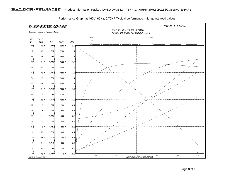

Performance Graph at 460V, 60Hz, 0.75HP Typical performance - Not guaranteed values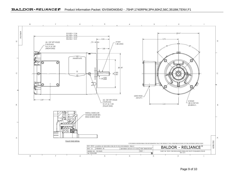